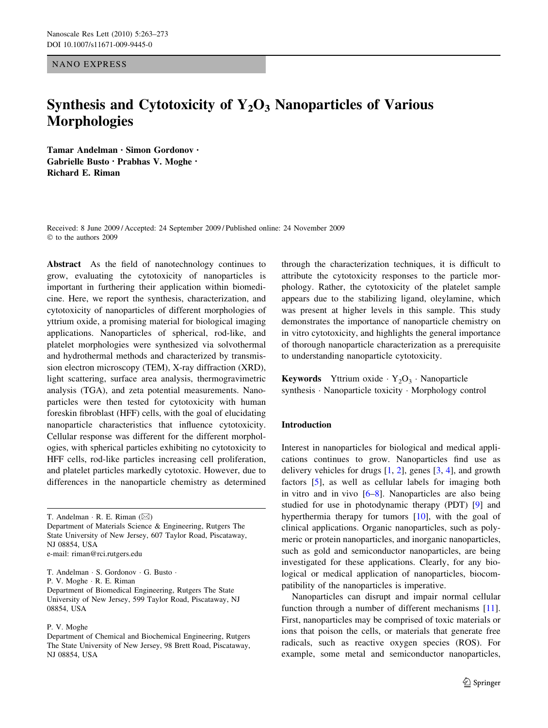NANO EXPRESS

# Synthesis and Cytotoxicity of  $Y_2O_3$  Nanoparticles of Various Morphologies

Tamar Andelman • Simon Gordonov • Gabrielle Busto • Prabhas V. Moghe • Richard E. Riman

Received: 8 June 2009 / Accepted: 24 September 2009 / Published online: 24 November 2009  $©$  to the authors 2009

Abstract As the field of nanotechnology continues to grow, evaluating the cytotoxicity of nanoparticles is important in furthering their application within biomedicine. Here, we report the synthesis, characterization, and cytotoxicity of nanoparticles of different morphologies of yttrium oxide, a promising material for biological imaging applications. Nanoparticles of spherical, rod-like, and platelet morphologies were synthesized via solvothermal and hydrothermal methods and characterized by transmission electron microscopy (TEM), X-ray diffraction (XRD), light scattering, surface area analysis, thermogravimetric analysis (TGA), and zeta potential measurements. Nanoparticles were then tested for cytotoxicity with human foreskin fibroblast (HFF) cells, with the goal of elucidating nanoparticle characteristics that influence cytotoxicity. Cellular response was different for the different morphologies, with spherical particles exhibiting no cytotoxicity to HFF cells, rod-like particles increasing cell proliferation, and platelet particles markedly cytotoxic. However, due to differences in the nanoparticle chemistry as determined

T. Andelman  $\cdot$  R. E. Riman ( $\boxtimes$ )

Department of Materials Science & Engineering, Rutgers The State University of New Jersey, 607 Taylor Road, Piscataway, NJ 08854, USA e-mail: riman@rci.rutgers.edu

T. Andelman · S. Gordonov · G. Busto · P. V. Moghe · R. E. Riman Department of Biomedical Engineering, Rutgers The State University of New Jersey, 599 Taylor Road, Piscataway, NJ 08854, USA

P. V. Moghe

through the characterization techniques, it is difficult to attribute the cytotoxicity responses to the particle morphology. Rather, the cytotoxicity of the platelet sample appears due to the stabilizing ligand, oleylamine, which was present at higher levels in this sample. This study demonstrates the importance of nanoparticle chemistry on in vitro cytotoxicity, and highlights the general importance of thorough nanoparticle characterization as a prerequisite to understanding nanoparticle cytotoxicity.

**Keywords** Yttrium oxide  $Y_2O_3$  · Nanoparticle synthesis · Nanoparticle toxicity · Morphology control

#### Introduction

Interest in nanoparticles for biological and medical applications continues to grow. Nanoparticles find use as delivery vehicles for drugs [[1,](#page-9-0) [2](#page-9-0)], genes [\[3](#page-9-0), [4\]](#page-9-0), and growth factors [[5\]](#page-9-0), as well as cellular labels for imaging both in vitro and in vivo [[6–8](#page-9-0)]. Nanoparticles are also being studied for use in photodynamic therapy (PDT) [[9\]](#page-9-0) and hyperthermia therapy for tumors [[10\]](#page-9-0), with the goal of clinical applications. Organic nanoparticles, such as polymeric or protein nanoparticles, and inorganic nanoparticles, such as gold and semiconductor nanoparticles, are being investigated for these applications. Clearly, for any biological or medical application of nanoparticles, biocompatibility of the nanoparticles is imperative.

Nanoparticles can disrupt and impair normal cellular function through a number of different mechanisms [\[11](#page-9-0)]. First, nanoparticles may be comprised of toxic materials or ions that poison the cells, or materials that generate free radicals, such as reactive oxygen species (ROS). For example, some metal and semiconductor nanoparticles,

Department of Chemical and Biochemical Engineering, Rutgers The State University of New Jersey, 98 Brett Road, Piscataway, NJ 08854, USA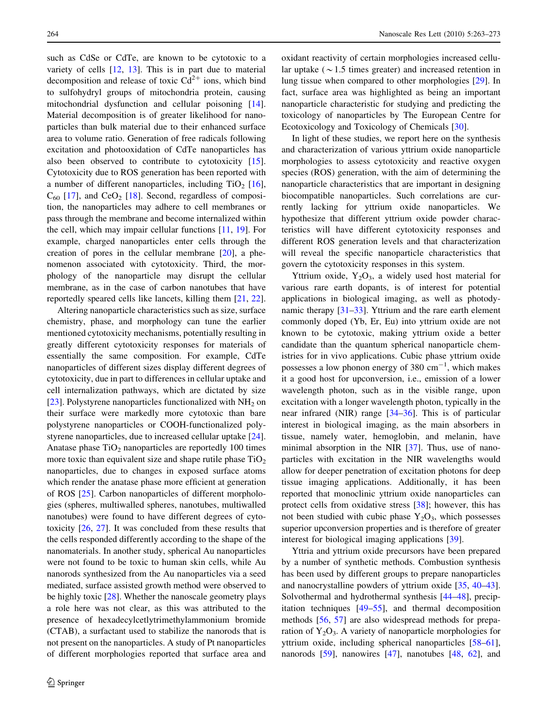such as CdSe or CdTe, are known to be cytotoxic to a variety of cells [\[12](#page-9-0), [13](#page-9-0)]. This is in part due to material decomposition and release of toxic  $Cd^{2+}$  ions, which bind to sulfohydryl groups of mitochondria protein, causing mitochondrial dysfunction and cellular poisoning [\[14](#page-9-0)]. Material decomposition is of greater likelihood for nanoparticles than bulk material due to their enhanced surface area to volume ratio. Generation of free radicals following excitation and photooxidation of CdTe nanoparticles has also been observed to contribute to cytotoxicity [\[15](#page-9-0)]. Cytotoxicity due to ROS generation has been reported with a number of different nanoparticles, including  $TiO<sub>2</sub>$  [\[16](#page-9-0)],  $C_{60}$  [\[17](#page-9-0)], and  $CeO<sub>2</sub>$  [[18\]](#page-9-0). Second, regardless of composition, the nanoparticles may adhere to cell membranes or pass through the membrane and become internalized within the cell, which may impair cellular functions [[11,](#page-9-0) [19](#page-9-0)]. For example, charged nanoparticles enter cells through the creation of pores in the cellular membrane [[20\]](#page-9-0), a phenomenon associated with cytotoxicity. Third, the morphology of the nanoparticle may disrupt the cellular membrane, as in the case of carbon nanotubes that have reportedly speared cells like lancets, killing them [[21,](#page-9-0) [22](#page-9-0)].

Altering nanoparticle characteristics such as size, surface chemistry, phase, and morphology can tune the earlier mentioned cytotoxicity mechanisms, potentially resulting in greatly different cytotoxicity responses for materials of essentially the same composition. For example, CdTe nanoparticles of different sizes display different degrees of cytotoxicity, due in part to differences in cellular uptake and cell internalization pathways, which are dictated by size [\[23](#page-9-0)]. Polystyrene nanoparticles functionalized with NH<sub>2</sub> on their surface were markedly more cytotoxic than bare polystyrene nanoparticles or COOH-functionalized polystyrene nanoparticles, due to increased cellular uptake [\[24](#page-9-0)]. Anatase phase  $TiO<sub>2</sub>$  nanoparticles are reportedly 100 times more toxic than equivalent size and shape rutile phase  $TiO<sub>2</sub>$ nanoparticles, due to changes in exposed surface atoms which render the anatase phase more efficient at generation of ROS [[25\]](#page-9-0). Carbon nanoparticles of different morphologies (spheres, multiwalled spheres, nanotubes, multiwalled nanotubes) were found to have different degrees of cytotoxicity [[26,](#page-9-0) [27\]](#page-9-0). It was concluded from these results that the cells responded differently according to the shape of the nanomaterials. In another study, spherical Au nanoparticles were not found to be toxic to human skin cells, while Au nanorods synthesized from the Au nanoparticles via a seed mediated, surface assisted growth method were observed to be highly toxic [\[28](#page-9-0)]. Whether the nanoscale geometry plays a role here was not clear, as this was attributed to the presence of hexadecylcetlytrimethylammonium bromide (CTAB), a surfactant used to stabilize the nanorods that is not present on the nanoparticles. A study of Pt nanoparticles of different morphologies reported that surface area and oxidant reactivity of certain morphologies increased cellular uptake ( $\sim$  1.5 times greater) and increased retention in lung tissue when compared to other morphologies [[29\]](#page-9-0). In fact, surface area was highlighted as being an important nanoparticle characteristic for studying and predicting the toxicology of nanoparticles by The European Centre for Ecotoxicology and Toxicology of Chemicals [\[30](#page-9-0)].

In light of these studies, we report here on the synthesis and characterization of various yttrium oxide nanoparticle morphologies to assess cytotoxicity and reactive oxygen species (ROS) generation, with the aim of determining the nanoparticle characteristics that are important in designing biocompatible nanoparticles. Such correlations are currently lacking for yttrium oxide nanoparticles. We hypothesize that different yttrium oxide powder characteristics will have different cytotoxicity responses and different ROS generation levels and that characterization will reveal the specific nanoparticle characteristics that govern the cytotoxicity responses in this system.

Yttrium oxide,  $Y_2O_3$ , a widely used host material for various rare earth dopants, is of interest for potential applications in biological imaging, as well as photodynamic therapy [[31–33\]](#page-10-0). Yttrium and the rare earth element commonly doped (Yb, Er, Eu) into yttrium oxide are not known to be cytotoxic, making yttrium oxide a better candidate than the quantum spherical nanoparticle chemistries for in vivo applications. Cubic phase yttrium oxide possesses a low phonon energy of 380  $\text{cm}^{-1}$ , which makes it a good host for upconversion, i.e., emission of a lower wavelength photon, such as in the visible range, upon excitation with a longer wavelength photon, typically in the near infrared (NIR) range [\[34–36](#page-10-0)]. This is of particular interest in biological imaging, as the main absorbers in tissue, namely water, hemoglobin, and melanin, have minimal absorption in the NIR [\[37](#page-10-0)]. Thus, use of nanoparticles with excitation in the NIR wavelengths would allow for deeper penetration of excitation photons for deep tissue imaging applications. Additionally, it has been reported that monoclinic yttrium oxide nanoparticles can protect cells from oxidative stress [[38\]](#page-10-0); however, this has not been studied with cubic phase  $Y_2O_3$ , which possesses superior upconversion properties and is therefore of greater interest for biological imaging applications [[39\]](#page-10-0).

Yttria and yttrium oxide precursors have been prepared by a number of synthetic methods. Combustion synthesis has been used by different groups to prepare nanoparticles and nanocrystalline powders of yttrium oxide [[35,](#page-10-0) [40–43](#page-10-0)]. Solvothermal and hydrothermal synthesis [[44–48\]](#page-10-0), precipitation techniques [[49–55\]](#page-10-0), and thermal decomposition methods [\[56](#page-10-0), [57](#page-10-0)] are also widespread methods for preparation of  $Y_2O_3$ . A variety of nanoparticle morphologies for yttrium oxide, including spherical nanoparticles [\[58–61](#page-10-0)], nanorods [\[59](#page-10-0)], nanowires [[47](#page-10-0)], nanotubes [\[48](#page-10-0), [62\]](#page-10-0), and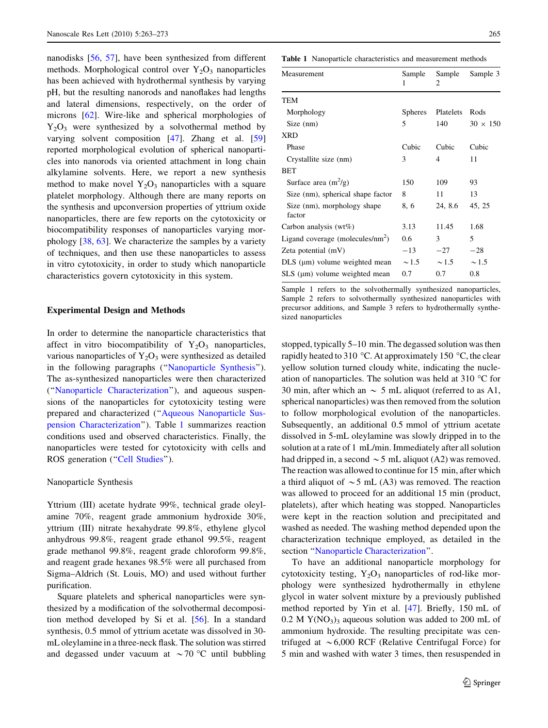<span id="page-2-0"></span>nanodisks [\[56](#page-10-0), [57\]](#page-10-0), have been synthesized from different methods. Morphological control over  $Y_2O_3$  nanoparticles has been achieved with hydrothermal synthesis by varying pH, but the resulting nanorods and nanoflakes had lengths and lateral dimensions, respectively, on the order of microns [\[62](#page-10-0)]. Wire-like and spherical morphologies of  $Y_2O_3$  were synthesized by a solvothermal method by varying solvent composition [\[47](#page-10-0)]. Zhang et al. [[59\]](#page-10-0) reported morphological evolution of spherical nanoparticles into nanorods via oriented attachment in long chain alkylamine solvents. Here, we report a new synthesis method to make novel  $Y_2O_3$  nanoparticles with a square platelet morphology. Although there are many reports on the synthesis and upconversion properties of yttrium oxide nanoparticles, there are few reports on the cytotoxicity or biocompatibility responses of nanoparticles varying morphology [[38,](#page-10-0) [63\]](#page-10-0). We characterize the samples by a variety of techniques, and then use these nanoparticles to assess in vitro cytotoxicity, in order to study which nanoparticle characteristics govern cytotoxicity in this system.

### Experimental Design and Methods

In order to determine the nanoparticle characteristics that affect in vitro biocompatibility of  $Y_2O_3$  nanoparticles, various nanoparticles of  $Y_2O_3$  were synthesized as detailed in the following paragraphs (''Nanoparticle Synthesis''). The as-synthesized nanoparticles were then characterized (''[Nanoparticle Characterization'](#page-3-0)'), and aqueous suspensions of the nanoparticles for cytotoxicity testing were prepared and characterized (''[Aqueous Nanoparticle Sus](#page-4-0)[pension Characterization'](#page-4-0)'). Table 1 summarizes reaction conditions used and observed characteristics. Finally, the nanoparticles were tested for cytotoxicity with cells and ROS generation ("Cell Studies").

#### Nanoparticle Synthesis

Yttrium (III) acetate hydrate 99%, technical grade oleylamine 70%, reagent grade ammonium hydroxide 30%, yttrium (III) nitrate hexahydrate 99.8%, ethylene glycol anhydrous 99.8%, reagent grade ethanol 99.5%, reagent grade methanol 99.8%, reagent grade chloroform 99.8%, and reagent grade hexanes 98.5% were all purchased from Sigma–Aldrich (St. Louis, MO) and used without further purification.

Square platelets and spherical nanoparticles were synthesized by a modification of the solvothermal decomposition method developed by Si et al. [[56\]](#page-10-0). In a standard synthesis, 0.5 mmol of yttrium acetate was dissolved in 30 mL oleylamine in a three-neck flask. The solution was stirred and degassed under vacuum at  $\sim$  70 °C until bubbling

Table 1 Nanoparticle characteristics and measurement methods

| Measurement                           | Sample<br>1    | Sample<br>2 | Sample 3        |
|---------------------------------------|----------------|-------------|-----------------|
| TEM                                   |                |             |                 |
| Morphology                            | <b>Spheres</b> | Platelets   | Rods            |
| Size (nm)                             | 5              | 140         | $30 \times 150$ |
| <b>XRD</b>                            |                |             |                 |
| Phase                                 | Cubic          | Cubic       | Cubic           |
| Crystallite size (nm)                 | 3              | 4           | 11              |
| <b>BET</b>                            |                |             |                 |
| Surface area $(m^2/g)$                | 150            | 109         | 93              |
| Size (nm), spherical shape factor     | 8              | 11          | 13              |
| Size (nm), morphology shape<br>factor | 8.6            | 24, 8.6     | 45, 25          |
| Carbon analysis $(wt\%)$              | 3.13           | 11.45       | 1.68            |
| Ligand coverage (molecules/ $nm^2$ )  | 0.6            | 3           | 5               |
| Zeta potential $(mV)$                 | $-13$          | $-27$       | $-28$           |
| $DLS$ ( $\mu$ m) volume weighted mean | $\sim$ 1.5     | $\sim$ 1.5  | $\sim$ 1.5      |
| $SLS$ ( $\mu$ m) volume weighted mean | 0.7            | 0.7         | 0.8             |

Sample 1 refers to the solvothermally synthesized nanoparticles, Sample 2 refers to solvothermally synthesized nanoparticles with precursor additions, and Sample 3 refers to hydrothermally synthesized nanoparticles

stopped, typically 5–10 min. The degassed solution was then rapidly heated to 310 °C. At approximately 150 °C, the clear yellow solution turned cloudy white, indicating the nucleation of nanoparticles. The solution was held at 310  $^{\circ}$ C for 30 min, after which an  $\sim$  5 mL aliquot (referred to as A1, spherical nanoparticles) was then removed from the solution to follow morphological evolution of the nanoparticles. Subsequently, an additional 0.5 mmol of yttrium acetate dissolved in 5-mL oleylamine was slowly dripped in to the solution at a rate of 1 mL/min. Immediately after all solution had dripped in, a second  $\sim$  5 mL aliquot (A2) was removed. The reaction was allowed to continue for 15 min, after which a third aliquot of  $\sim$  5 mL (A3) was removed. The reaction was allowed to proceed for an additional 15 min (product, platelets), after which heating was stopped. Nanoparticles were kept in the reaction solution and precipitated and washed as needed. The washing method depended upon the characterization technique employed, as detailed in the section "[Nanoparticle Characterization](#page-3-0)".

To have an additional nanoparticle morphology for cytotoxicity testing,  $Y_2O_3$  nanoparticles of rod-like morphology were synthesized hydrothermally in ethylene glycol in water solvent mixture by a previously published method reported by Yin et al. [\[47](#page-10-0)]. Briefly, 150 mL of  $0.2$  M Y(NO<sub>3</sub>)<sub>3</sub> aqueous solution was added to 200 mL of ammonium hydroxide. The resulting precipitate was centrifuged at  $\sim 6,000$  RCF (Relative Centrifugal Force) for 5 min and washed with water 3 times, then resuspended in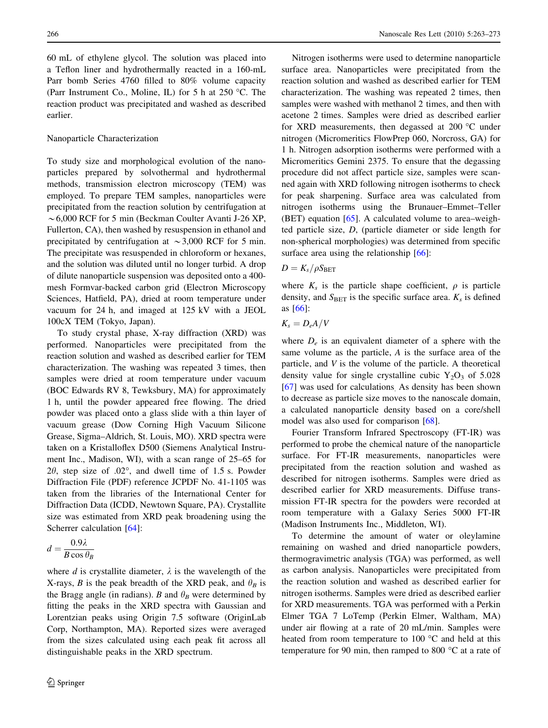<span id="page-3-0"></span>60 mL of ethylene glycol. The solution was placed into a Teflon liner and hydrothermally reacted in a 160-mL Parr bomb Series 4760 filled to 80% volume capacity (Parr Instrument Co., Moline, IL) for 5 h at 250  $^{\circ}$ C. The reaction product was precipitated and washed as described earlier.

#### Nanoparticle Characterization

To study size and morphological evolution of the nanoparticles prepared by solvothermal and hydrothermal methods, transmission electron microscopy (TEM) was employed. To prepare TEM samples, nanoparticles were precipitated from the reaction solution by centrifugation at  $\sim$  6,000 RCF for 5 min (Beckman Coulter Avanti J-26 XP, Fullerton, CA), then washed by resuspension in ethanol and precipitated by centrifugation at  $\sim$ 3,000 RCF for 5 min. The precipitate was resuspended in chloroform or hexanes, and the solution was diluted until no longer turbid. A drop of dilute nanoparticle suspension was deposited onto a 400 mesh Formvar-backed carbon grid (Electron Microscopy Sciences, Hatfield, PA), dried at room temperature under vacuum for 24 h, and imaged at 125 kV with a JEOL 100cX TEM (Tokyo, Japan).

To study crystal phase, X-ray diffraction (XRD) was performed. Nanoparticles were precipitated from the reaction solution and washed as described earlier for TEM characterization. The washing was repeated 3 times, then samples were dried at room temperature under vacuum (BOC Edwards RV 8, Tewksbury, MA) for approximately 1 h, until the powder appeared free flowing. The dried powder was placed onto a glass slide with a thin layer of vacuum grease (Dow Corning High Vacuum Silicone Grease, Sigma–Aldrich, St. Louis, MO). XRD spectra were taken on a Kristalloflex D500 (Siemens Analytical Instrument Inc., Madison, WI), with a scan range of 25–65 for  $2\theta$ , step size of .02°, and dwell time of 1.5 s. Powder Diffraction File (PDF) reference JCPDF No. 41-1105 was taken from the libraries of the International Center for Diffraction Data (ICDD, Newtown Square, PA). Crystallite size was estimated from XRD peak broadening using the Scherrer calculation [[64\]](#page-10-0):

$$
d = \frac{0.9\lambda}{B\cos\theta_B}
$$

where d is crystallite diameter,  $\lambda$  is the wavelength of the X-rays, B is the peak breadth of the XRD peak, and  $\theta_B$  is the Bragg angle (in radians). B and  $\theta_B$  were determined by fitting the peaks in the XRD spectra with Gaussian and Lorentzian peaks using Origin 7.5 software (OriginLab Corp, Northampton, MA). Reported sizes were averaged from the sizes calculated using each peak fit across all distinguishable peaks in the XRD spectrum.

Nitrogen isotherms were used to determine nanoparticle surface area. Nanoparticles were precipitated from the reaction solution and washed as described earlier for TEM characterization. The washing was repeated 2 times, then samples were washed with methanol 2 times, and then with acetone 2 times. Samples were dried as described earlier for XRD measurements, then degassed at 200  $^{\circ}$ C under nitrogen (Micromeritics FlowPrep 060, Norcross, GA) for 1 h. Nitrogen adsorption isotherms were performed with a Micromeritics Gemini 2375. To ensure that the degassing procedure did not affect particle size, samples were scanned again with XRD following nitrogen isotherms to check for peak sharpening. Surface area was calculated from nitrogen isotherms using the Brunauer–Emmet–Teller (BET) equation [\[65](#page-10-0)]. A calculated volume to area–weighted particle size, D, (particle diameter or side length for non-spherical morphologies) was determined from specific surface area using the relationship [[66\]](#page-10-0):

 $D = K_s/\rho S_{\rm BET}$ 

where  $K_s$  is the particle shape coefficient,  $\rho$  is particle density, and  $S_{\text{BET}}$  is the specific surface area.  $K_s$  is defined as [\[66](#page-10-0)]:

$$
K_s=D_eA/V
$$

where  $D_e$  is an equivalent diameter of a sphere with the same volume as the particle, A is the surface area of the particle, and V is the volume of the particle. A theoretical density value for single crystalline cubic  $Y_2O_3$  of 5.028 [\[67](#page-10-0)] was used for calculations. As density has been shown to decrease as particle size moves to the nanoscale domain, a calculated nanoparticle density based on a core/shell model was also used for comparison [[68\]](#page-10-0).

Fourier Transform Infrared Spectroscopy (FT-IR) was performed to probe the chemical nature of the nanoparticle surface. For FT-IR measurements, nanoparticles were precipitated from the reaction solution and washed as described for nitrogen isotherms. Samples were dried as described earlier for XRD measurements. Diffuse transmission FT-IR spectra for the powders were recorded at room temperature with a Galaxy Series 5000 FT-IR (Madison Instruments Inc., Middleton, WI).

To determine the amount of water or oleylamine remaining on washed and dried nanoparticle powders, thermogravimetric analysis (TGA) was performed, as well as carbon analysis. Nanoparticles were precipitated from the reaction solution and washed as described earlier for nitrogen isotherms. Samples were dried as described earlier for XRD measurements. TGA was performed with a Perkin Elmer TGA 7 LoTemp (Perkin Elmer, Waltham, MA) under air flowing at a rate of 20 mL/min. Samples were heated from room temperature to  $100\text{ °C}$  and held at this temperature for 90 min, then ramped to 800 $\degree$ C at a rate of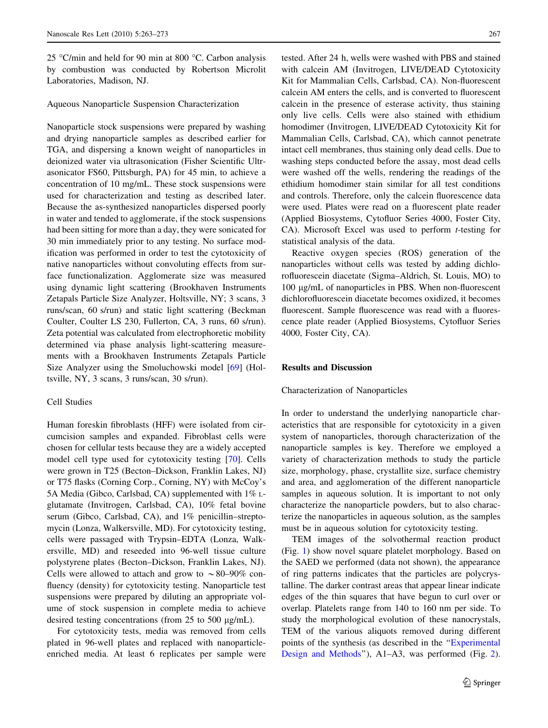<span id="page-4-0"></span>25 °C/min and held for 90 min at 800 °C. Carbon analysis by combustion was conducted by Robertson Microlit Laboratories, Madison, NJ.

Aqueous Nanoparticle Suspension Characterization

Nanoparticle stock suspensions were prepared by washing and drying nanoparticle samples as described earlier for TGA, and dispersing a known weight of nanoparticles in deionized water via ultrasonication (Fisher Scientific Ultrasonicator FS60, Pittsburgh, PA) for 45 min, to achieve a concentration of 10 mg/mL. These stock suspensions were used for characterization and testing as described later. Because the as-synthesized nanoparticles dispersed poorly in water and tended to agglomerate, if the stock suspensions had been sitting for more than a day, they were sonicated for 30 min immediately prior to any testing. No surface modification was performed in order to test the cytotoxicity of native nanoparticles without convoluting effects from surface functionalization. Agglomerate size was measured using dynamic light scattering (Brookhaven Instruments Zetapals Particle Size Analyzer, Holtsville, NY; 3 scans, 3 runs/scan, 60 s/run) and static light scattering (Beckman Coulter, Coulter LS 230, Fullerton, CA, 3 runs, 60 s/run). Zeta potential was calculated from electrophoretic mobility determined via phase analysis light-scattering measurements with a Brookhaven Instruments Zetapals Particle Size Analyzer using the Smoluchowski model [\[69](#page-10-0)] (Holtsville, NY, 3 scans, 3 runs/scan, 30 s/run).

## Cell Studies

Human foreskin fibroblasts (HFF) were isolated from circumcision samples and expanded. Fibroblast cells were chosen for cellular tests because they are a widely accepted model cell type used for cytotoxicity testing [\[70](#page-10-0)]. Cells were grown in T25 (Becton–Dickson, Franklin Lakes, NJ) or T75 flasks (Corning Corp., Corning, NY) with McCoy's 5A Media (Gibco, Carlsbad, CA) supplemented with 1% Lglutamate (Invitrogen, Carlsbad, CA), 10% fetal bovine serum (Gibco, Carlsbad, CA), and 1% penicillin–streptomycin (Lonza, Walkersville, MD). For cytotoxicity testing, cells were passaged with Trypsin–EDTA (Lonza, Walkersville, MD) and reseeded into 96-well tissue culture polystyrene plates (Becton–Dickson, Franklin Lakes, NJ). Cells were allowed to attach and grow to  $\sim 80-90\%$  confluency (density) for cytotoxicity testing. Nanoparticle test suspensions were prepared by diluting an appropriate volume of stock suspension in complete media to achieve desired testing concentrations (from  $25$  to  $500 \mu g/mL$ ).

For cytotoxicity tests, media was removed from cells plated in 96-well plates and replaced with nanoparticleenriched media. At least 6 replicates per sample were tested. After 24 h, wells were washed with PBS and stained with calcein AM (Invitrogen, LIVE/DEAD Cytotoxicity Kit for Mammalian Cells, Carlsbad, CA). Non-fluorescent calcein AM enters the cells, and is converted to fluorescent calcein in the presence of esterase activity, thus staining only live cells. Cells were also stained with ethidium homodimer (Invitrogen, LIVE/DEAD Cytotoxicity Kit for Mammalian Cells, Carlsbad, CA), which cannot penetrate intact cell membranes, thus staining only dead cells. Due to washing steps conducted before the assay, most dead cells were washed off the wells, rendering the readings of the ethidium homodimer stain similar for all test conditions and controls. Therefore, only the calcein fluorescence data were used. Plates were read on a fluorescent plate reader (Applied Biosystems, Cytofluor Series 4000, Foster City, CA). Microsoft Excel was used to perform t-testing for statistical analysis of the data.

Reactive oxygen species (ROS) generation of the nanoparticles without cells was tested by adding dichlorofluorescein diacetate (Sigma–Aldrich, St. Louis, MO) to 100 lg/mL of nanoparticles in PBS. When non-fluorescent dichlorofluorescein diacetate becomes oxidized, it becomes fluorescent. Sample fluorescence was read with a fluorescence plate reader (Applied Biosystems, Cytofluor Series 4000, Foster City, CA).

## Results and Discussion

## Characterization of Nanoparticles

In order to understand the underlying nanoparticle characteristics that are responsible for cytotoxicity in a given system of nanoparticles, thorough characterization of the nanoparticle samples is key. Therefore we employed a variety of characterization methods to study the particle size, morphology, phase, crystallite size, surface chemistry and area, and agglomeration of the different nanoparticle samples in aqueous solution. It is important to not only characterize the nanoparticle powders, but to also characterize the nanoparticles in aqueous solution, as the samples must be in aqueous solution for cytotoxicity testing.

TEM images of the solvothermal reaction product (Fig. [1\)](#page-5-0) show novel square platelet morphology. Based on the SAED we performed (data not shown), the appearance of ring patterns indicates that the particles are polycrystalline. The darker contrast areas that appear linear indicate edges of the thin squares that have begun to curl over or overlap. Platelets range from 140 to 160 nm per side. To study the morphological evolution of these nanocrystals, TEM of the various aliquots removed during different points of the synthesis (as described in the '['Experimental](#page-2-0) [Design and Methods'](#page-2-0)'), A1–A3, was performed (Fig. [2](#page-5-0)).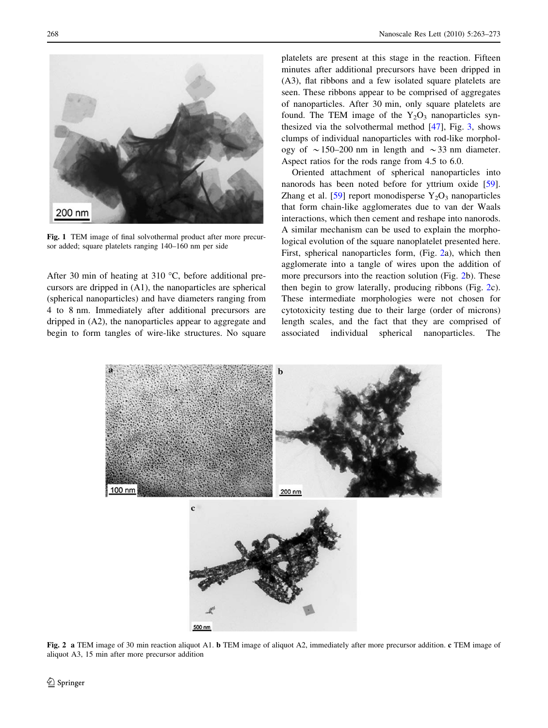<span id="page-5-0"></span>

Fig. 1 TEM image of final solvothermal product after more precursor added; square platelets ranging 140–160 nm per side

After 30 min of heating at 310  $^{\circ}$ C, before additional precursors are dripped in (A1), the nanoparticles are spherical (spherical nanoparticles) and have diameters ranging from 4 to 8 nm. Immediately after additional precursors are dripped in (A2), the nanoparticles appear to aggregate and begin to form tangles of wire-like structures. No square platelets are present at this stage in the reaction. Fifteen minutes after additional precursors have been dripped in (A3), flat ribbons and a few isolated square platelets are seen. These ribbons appear to be comprised of aggregates of nanoparticles. After 30 min, only square platelets are found. The TEM image of the  $Y_2O_3$  nanoparticles synthesized via the solvothermal method [\[47](#page-10-0)], Fig. [3,](#page-6-0) shows clumps of individual nanoparticles with rod-like morphology of  $\sim$  150–200 nm in length and  $\sim$  33 nm diameter. Aspect ratios for the rods range from 4.5 to 6.0.

Oriented attachment of spherical nanoparticles into nanorods has been noted before for yttrium oxide [\[59](#page-10-0)]. Zhang et al. [\[59](#page-10-0)] report monodisperse  $Y_2O_3$  nanoparticles that form chain-like agglomerates due to van der Waals interactions, which then cement and reshape into nanorods. A similar mechanism can be used to explain the morphological evolution of the square nanoplatelet presented here. First, spherical nanoparticles form, (Fig. 2a), which then agglomerate into a tangle of wires upon the addition of more precursors into the reaction solution (Fig. 2b). These then begin to grow laterally, producing ribbons (Fig. 2c). These intermediate morphologies were not chosen for cytotoxicity testing due to their large (order of microns) length scales, and the fact that they are comprised of associated individual spherical nanoparticles. The



Fig. 2 a TEM image of 30 min reaction aliquot A1. b TEM image of aliquot A2, immediately after more precursor addition. c TEM image of aliquot A3, 15 min after more precursor addition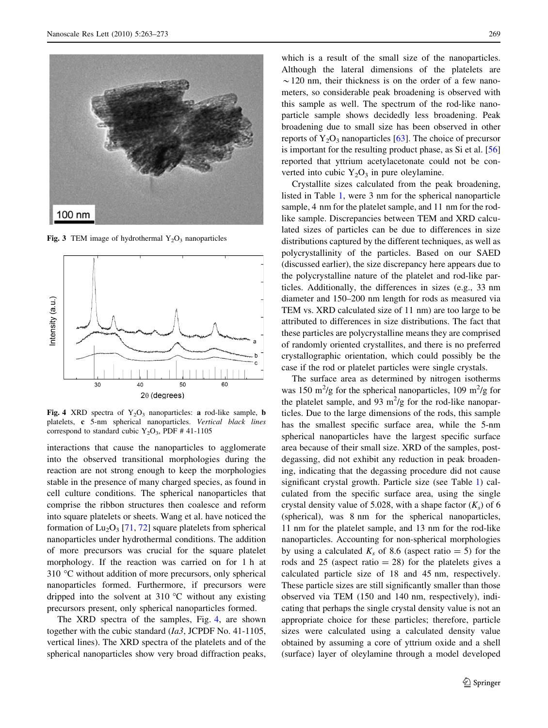<span id="page-6-0"></span>

Fig. 3 TEM image of hydrothermal  $Y_2O_3$  nanoparticles



Fig. 4 XRD spectra of  $Y_2O_3$  nanoparticles: a rod-like sample, **b** platelets, c 5-nm spherical nanoparticles. Vertical black lines correspond to standard cubic  $Y_2O_3$ , PDF # 41-1105

interactions that cause the nanoparticles to agglomerate into the observed transitional morphologies during the reaction are not strong enough to keep the morphologies stable in the presence of many charged species, as found in cell culture conditions. The spherical nanoparticles that comprise the ribbon structures then coalesce and reform into square platelets or sheets. Wang et al. have noticed the formation of  $Lu_2O_3$  [[71,](#page-10-0) [72](#page-10-0)] square platelets from spherical nanoparticles under hydrothermal conditions. The addition of more precursors was crucial for the square platelet morphology. If the reaction was carried on for 1 h at 310 °C without addition of more precursors, only spherical nanoparticles formed. Furthermore, if precursors were dripped into the solvent at 310  $\degree$ C without any existing precursors present, only spherical nanoparticles formed.

The XRD spectra of the samples, Fig. 4, are shown together with the cubic standard  $(Ia3, JCPDF$  No. 41-1105, vertical lines). The XRD spectra of the platelets and of the spherical nanoparticles show very broad diffraction peaks,

which is a result of the small size of the nanoparticles. Although the lateral dimensions of the platelets are  $\sim$ 120 nm, their thickness is on the order of a few nanometers, so considerable peak broadening is observed with this sample as well. The spectrum of the rod-like nanoparticle sample shows decidedly less broadening. Peak broadening due to small size has been observed in other reports of  $Y_2O_3$  nanoparticles [[63\]](#page-10-0). The choice of precursor is important for the resulting product phase, as Si et al. [[56\]](#page-10-0) reported that yttrium acetylacetonate could not be converted into cubic  $Y_2O_3$  in pure oleylamine.

Crystallite sizes calculated from the peak broadening, listed in Table [1,](#page-2-0) were 3 nm for the spherical nanoparticle sample, 4 nm for the platelet sample, and 11 nm for the rodlike sample. Discrepancies between TEM and XRD calculated sizes of particles can be due to differences in size distributions captured by the different techniques, as well as polycrystallinity of the particles. Based on our SAED (discussed earlier), the size discrepancy here appears due to the polycrystalline nature of the platelet and rod-like particles. Additionally, the differences in sizes (e.g., 33 nm diameter and 150–200 nm length for rods as measured via TEM vs. XRD calculated size of 11 nm) are too large to be attributed to differences in size distributions. The fact that these particles are polycrystalline means they are comprised of randomly oriented crystallites, and there is no preferred crystallographic orientation, which could possibly be the case if the rod or platelet particles were single crystals.

The surface area as determined by nitrogen isotherms was 150 m<sup>2</sup>/g for the spherical nanoparticles, 109 m<sup>2</sup>/g for the platelet sample, and 93  $m^2/g$  for the rod-like nanoparticles. Due to the large dimensions of the rods, this sample has the smallest specific surface area, while the 5-nm spherical nanoparticles have the largest specific surface area because of their small size. XRD of the samples, postdegassing, did not exhibit any reduction in peak broadening, indicating that the degassing procedure did not cause significant crystal growth. Particle size (see Table [1\)](#page-2-0) calculated from the specific surface area, using the single crystal density value of 5.028, with a shape factor  $(K_s)$  of 6 (spherical), was 8 nm for the spherical nanoparticles, 11 nm for the platelet sample, and 13 nm for the rod-like nanoparticles. Accounting for non-spherical morphologies by using a calculated  $K_s$  of 8.6 (aspect ratio = 5) for the rods and 25 (aspect ratio  $= 28$ ) for the platelets gives a calculated particle size of 18 and 45 nm, respectively. These particle sizes are still significantly smaller than those observed via TEM (150 and 140 nm, respectively), indicating that perhaps the single crystal density value is not an appropriate choice for these particles; therefore, particle sizes were calculated using a calculated density value obtained by assuming a core of yttrium oxide and a shell (surface) layer of oleylamine through a model developed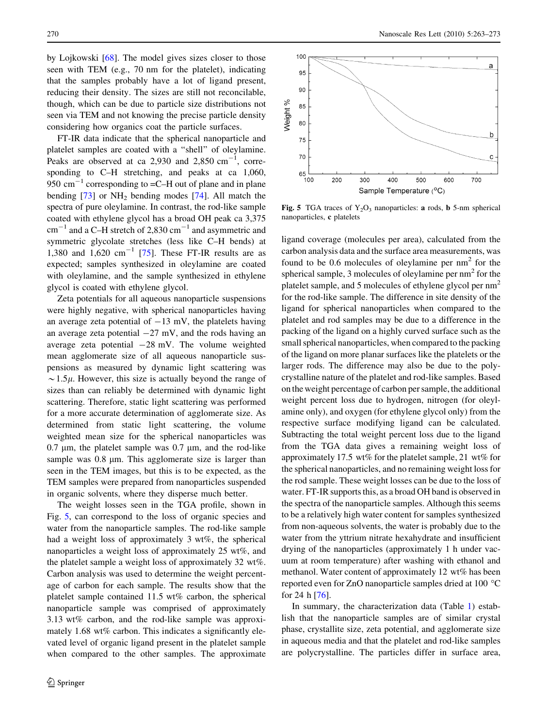by Lojkowski [\[68](#page-10-0)]. The model gives sizes closer to those seen with TEM (e.g., 70 nm for the platelet), indicating that the samples probably have a lot of ligand present, reducing their density. The sizes are still not reconcilable, though, which can be due to particle size distributions not seen via TEM and not knowing the precise particle density considering how organics coat the particle surfaces.

FT-IR data indicate that the spherical nanoparticle and platelet samples are coated with a ''shell'' of oleylamine. Peaks are observed at ca 2,930 and 2,850  $cm^{-1}$ , corresponding to C–H stretching, and peaks at ca 1,060, 950  $\text{cm}^{-1}$  corresponding to  $=$ C $-$ H out of plane and in plane bending  $[73]$  $[73]$  or  $NH_2$  bending modes  $[74]$  $[74]$ . All match the spectra of pure oleylamine. In contrast, the rod-like sample coated with ethylene glycol has a broad OH peak ca 3,375  $cm^{-1}$  and a C–H stretch of 2,830  $cm^{-1}$  and asymmetric and symmetric glycolate stretches (less like C–H bends) at 1,380 and 1,620 cm<sup>-1</sup> [\[75](#page-10-0)]. These FT-IR results are as expected; samples synthesized in oleylamine are coated with oleylamine, and the sample synthesized in ethylene glycol is coated with ethylene glycol.

Zeta potentials for all aqueous nanoparticle suspensions were highly negative, with spherical nanoparticles having an average zeta potential of  $-13$  mV, the platelets having an average zeta potential  $-27$  mV, and the rods having an average zeta potential  $-28$  mV. The volume weighted mean agglomerate size of all aqueous nanoparticle suspensions as measured by dynamic light scattering was  $\sim$  1.5 $\mu$ . However, this size is actually beyond the range of sizes than can reliably be determined with dynamic light scattering. Therefore, static light scattering was performed for a more accurate determination of agglomerate size. As determined from static light scattering, the volume weighted mean size for the spherical nanoparticles was 0.7  $\mu$ m, the platelet sample was 0.7  $\mu$ m, and the rod-like sample was  $0.8 \mu m$ . This agglomerate size is larger than seen in the TEM images, but this is to be expected, as the TEM samples were prepared from nanoparticles suspended in organic solvents, where they disperse much better.

The weight losses seen in the TGA profile, shown in Fig. 5, can correspond to the loss of organic species and water from the nanoparticle samples. The rod-like sample had a weight loss of approximately 3 wt%, the spherical nanoparticles a weight loss of approximately 25 wt%, and the platelet sample a weight loss of approximately 32 wt%. Carbon analysis was used to determine the weight percentage of carbon for each sample. The results show that the platelet sample contained 11.5 wt% carbon, the spherical nanoparticle sample was comprised of approximately 3.13 wt% carbon, and the rod-like sample was approximately 1.68 wt% carbon. This indicates a significantly elevated level of organic ligand present in the platelet sample when compared to the other samples. The approximate



Fig. 5 TGA traces of  $Y_2O_3$  nanoparticles: a rods, b 5-nm spherical nanoparticles, c platelets

ligand coverage (molecules per area), calculated from the carbon analysis data and the surface area measurements, was found to be 0.6 molecules of oleylamine per  $nm<sup>2</sup>$  for the spherical sample, 3 molecules of oleylamine per  $nm<sup>2</sup>$  for the platelet sample, and 5 molecules of ethylene glycol per nm<sup>2</sup> for the rod-like sample. The difference in site density of the ligand for spherical nanoparticles when compared to the platelet and rod samples may be due to a difference in the packing of the ligand on a highly curved surface such as the small spherical nanoparticles, when compared to the packing of the ligand on more planar surfaces like the platelets or the larger rods. The difference may also be due to the polycrystalline nature of the platelet and rod-like samples. Based on the weight percentage of carbon per sample, the additional weight percent loss due to hydrogen, nitrogen (for oleylamine only), and oxygen (for ethylene glycol only) from the respective surface modifying ligand can be calculated. Subtracting the total weight percent loss due to the ligand from the TGA data gives a remaining weight loss of approximately 17.5 wt% for the platelet sample, 21 wt% for the spherical nanoparticles, and no remaining weight loss for the rod sample. These weight losses can be due to the loss of water. FT-IR supports this, as a broad OH band is observed in the spectra of the nanoparticle samples. Although this seems to be a relatively high water content for samples synthesized from non-aqueous solvents, the water is probably due to the water from the yttrium nitrate hexahydrate and insufficient drying of the nanoparticles (approximately 1 h under vacuum at room temperature) after washing with ethanol and methanol. Water content of approximately 12 wt% has been reported even for ZnO nanoparticle samples dried at 100 °C for 24 h [\[76](#page-10-0)].

In summary, the characterization data (Table [1](#page-2-0)) establish that the nanoparticle samples are of similar crystal phase, crystallite size, zeta potential, and agglomerate size in aqueous media and that the platelet and rod-like samples are polycrystalline. The particles differ in surface area,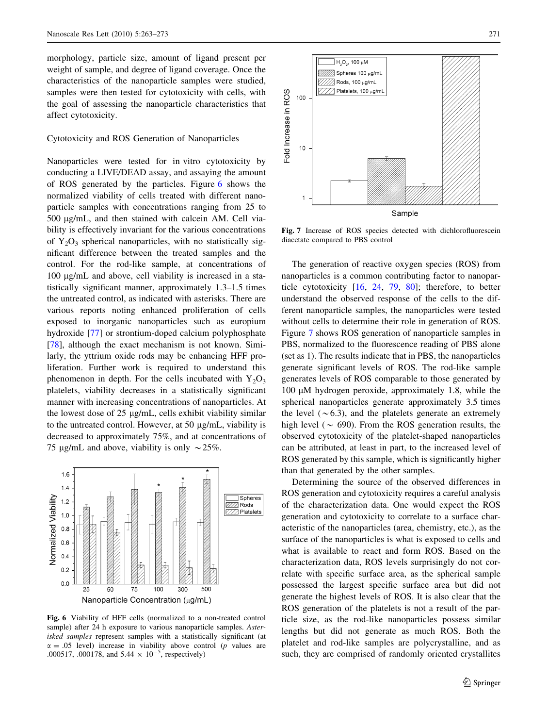morphology, particle size, amount of ligand present per weight of sample, and degree of ligand coverage. Once the characteristics of the nanoparticle samples were studied, samples were then tested for cytotoxicity with cells, with the goal of assessing the nanoparticle characteristics that affect cytotoxicity.

Cytotoxicity and ROS Generation of Nanoparticles

Nanoparticles were tested for in vitro cytotoxicity by conducting a LIVE/DEAD assay, and assaying the amount of ROS generated by the particles. Figure 6 shows the normalized viability of cells treated with different nanoparticle samples with concentrations ranging from 25 to 500 lg/mL, and then stained with calcein AM. Cell viability is effectively invariant for the various concentrations of  $Y_2O_3$  spherical nanoparticles, with no statistically significant difference between the treated samples and the control. For the rod-like sample, at concentrations of 100 µg/mL and above, cell viability is increased in a statistically significant manner, approximately 1.3–1.5 times the untreated control, as indicated with asterisks. There are various reports noting enhanced proliferation of cells exposed to inorganic nanoparticles such as europium hydroxide [\[77](#page-10-0)] or strontium-doped calcium polyphosphate [\[78](#page-10-0)], although the exact mechanism is not known. Similarly, the yttrium oxide rods may be enhancing HFF proliferation. Further work is required to understand this phenomenon in depth. For the cells incubated with  $Y_2O_3$ platelets, viability decreases in a statistically significant manner with increasing concentrations of nanoparticles. At the lowest dose of  $25 \mu g/mL$ , cells exhibit viability similar to the untreated control. However, at 50  $\mu$ g/mL, viability is decreased to approximately 75%, and at concentrations of 75 µg/mL and above, viability is only  $\sim$  25%.



Fig. 6 Viability of HFF cells (normalized to a non-treated control sample) after 24 h exposure to various nanoparticle samples. Asterisked samples represent samples with a statistically significant (at  $\alpha = .05$  level) increase in viability above control (*p* values are .000517, .000178, and  $5.44 \times 10^{-5}$ , respectively)



Fig. 7 Increase of ROS species detected with dichlorofluorescein diacetate compared to PBS control

The generation of reactive oxygen species (ROS) from nanoparticles is a common contributing factor to nanoparticle cytotoxicity [\[16](#page-9-0), [24,](#page-9-0) [79](#page-10-0), [80](#page-10-0)]; therefore, to better understand the observed response of the cells to the different nanoparticle samples, the nanoparticles were tested without cells to determine their role in generation of ROS. Figure 7 shows ROS generation of nanoparticle samples in PBS, normalized to the fluorescence reading of PBS alone (set as 1). The results indicate that in PBS, the nanoparticles generate significant levels of ROS. The rod-like sample generates levels of ROS comparable to those generated by 100  $\mu$ M hydrogen peroxide, approximately 1.8, while the spherical nanoparticles generate approximately 3.5 times the level  $({\sim}6.3)$ , and the platelets generate an extremely high level ( $\sim 690$ ). From the ROS generation results, the observed cytotoxicity of the platelet-shaped nanoparticles can be attributed, at least in part, to the increased level of ROS generated by this sample, which is significantly higher than that generated by the other samples.

Determining the source of the observed differences in ROS generation and cytotoxicity requires a careful analysis of the characterization data. One would expect the ROS generation and cytotoxicity to correlate to a surface characteristic of the nanoparticles (area, chemistry, etc.), as the surface of the nanoparticles is what is exposed to cells and what is available to react and form ROS. Based on the characterization data, ROS levels surprisingly do not correlate with specific surface area, as the spherical sample possessed the largest specific surface area but did not generate the highest levels of ROS. It is also clear that the ROS generation of the platelets is not a result of the particle size, as the rod-like nanoparticles possess similar lengths but did not generate as much ROS. Both the platelet and rod-like samples are polycrystalline, and as such, they are comprised of randomly oriented crystallites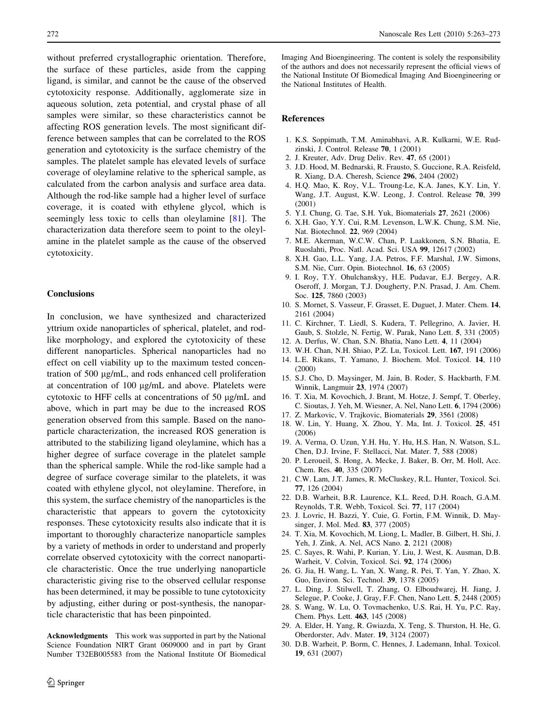<span id="page-9-0"></span>without preferred crystallographic orientation. Therefore, the surface of these particles, aside from the capping ligand, is similar, and cannot be the cause of the observed cytotoxicity response. Additionally, agglomerate size in aqueous solution, zeta potential, and crystal phase of all samples were similar, so these characteristics cannot be affecting ROS generation levels. The most significant difference between samples that can be correlated to the ROS generation and cytotoxicity is the surface chemistry of the samples. The platelet sample has elevated levels of surface coverage of oleylamine relative to the spherical sample, as calculated from the carbon analysis and surface area data. Although the rod-like sample had a higher level of surface coverage, it is coated with ethylene glycol, which is seemingly less toxic to cells than oleylamine [[81\]](#page-10-0). The characterization data therefore seem to point to the oleylamine in the platelet sample as the cause of the observed cytotoxicity.

## **Conclusions**

In conclusion, we have synthesized and characterized yttrium oxide nanoparticles of spherical, platelet, and rodlike morphology, and explored the cytotoxicity of these different nanoparticles. Spherical nanoparticles had no effect on cell viability up to the maximum tested concentration of 500 µg/mL, and rods enhanced cell proliferation at concentration of 100 µg/mL and above. Platelets were cytotoxic to HFF cells at concentrations of 50 µg/mL and above, which in part may be due to the increased ROS generation observed from this sample. Based on the nanoparticle characterization, the increased ROS generation is attributed to the stabilizing ligand oleylamine, which has a higher degree of surface coverage in the platelet sample than the spherical sample. While the rod-like sample had a degree of surface coverage similar to the platelets, it was coated with ethylene glycol, not oleylamine. Therefore, in this system, the surface chemistry of the nanoparticles is the characteristic that appears to govern the cytotoxicity responses. These cytotoxicity results also indicate that it is important to thoroughly characterize nanoparticle samples by a variety of methods in order to understand and properly correlate observed cytotoxicity with the correct nanoparticle characteristic. Once the true underlying nanoparticle characteristic giving rise to the observed cellular response has been determined, it may be possible to tune cytotoxicity by adjusting, either during or post-synthesis, the nanoparticle characteristic that has been pinpointed.

Acknowledgments This work was supported in part by the National Science Foundation NIRT Grant 0609000 and in part by Grant Number T32EB005583 from the National Institute Of Biomedical Imaging And Bioengineering. The content is solely the responsibility of the authors and does not necessarily represent the official views of the National Institute Of Biomedical Imaging And Bioengineering or the National Institutes of Health.

#### References

- 1. K.S. Soppimath, T.M. Aminabhavi, A.R. Kulkarni, W.E. Rudzinski, J. Control. Release 70, 1 (2001)
- 2. J. Kreuter, Adv. Drug Deliv. Rev. 47, 65 (2001)
- 3. J.D. Hood, M. Bednarski, R. Frausto, S. Guccione, R.A. Reisfeld, R. Xiang, D.A. Cheresh, Science 296, 2404 (2002)
- 4. H.Q. Mao, K. Roy, V.L. Troung-Le, K.A. Janes, K.Y. Lin, Y. Wang, J.T. August, K.W. Leong, J. Control. Release 70, 399 (2001)
- 5. Y.I. Chung, G. Tae, S.H. Yuk, Biomaterials 27, 2621 (2006)
- 6. X.H. Gao, Y.Y. Cui, R.M. Levenson, L.W.K. Chung, S.M. Nie, Nat. Biotechnol. 22, 969 (2004)
- 7. M.E. Akerman, W.C.W. Chan, P. Laakkonen, S.N. Bhatia, E. Ruoslahti, Proc. Natl. Acad. Sci. USA 99, 12617 (2002)
- 8. X.H. Gao, L.L. Yang, J.A. Petros, F.F. Marshal, J.W. Simons, S.M. Nie, Curr. Opin. Biotechnol. 16, 63 (2005)
- 9. I. Roy, T.Y. Ohulchanskyy, H.E. Pudavar, E.J. Bergey, A.R. Oseroff, J. Morgan, T.J. Dougherty, P.N. Prasad, J. Am. Chem. Soc. 125, 7860 (2003)
- 10. S. Mornet, S. Vasseur, F. Grasset, E. Duguet, J. Mater. Chem. 14, 2161 (2004)
- 11. C. Kirchner, T. Liedl, S. Kudera, T. Pellegrino, A. Javier, H. Gaub, S. Stolzle, N. Fertig, W. Parak, Nano Lett. 5, 331 (2005)
- 12. A. Derfus, W. Chan, S.N. Bhatia, Nano Lett. 4, 11 (2004)
- 13. W.H. Chan, N.H. Shiao, P.Z. Lu, Toxicol. Lett. 167, 191 (2006)
- 14. L.E. Rikans, T. Yamano, J. Biochem. Mol. Toxicol. 14, 110 (2000)
- 15. S.J. Cho, D. Maysinger, M. Jain, B. Roder, S. Hackbarth, F.M. Winnik, Langmuir 23, 1974 (2007)
- 16. T. Xia, M. Kovochich, J. Brant, M. Hotze, J. Sempf, T. Oberley, C. Sioutas, J. Yeh, M. Wiesner, A. Nel, Nano Lett. 6, 1794 (2006)
- 17. Z. Markovic, V. Trajkovic, Biomaterials 29, 3561 (2008)
- 18. W. Lin, Y. Huang, X. Zhou, Y. Ma, Int. J. Toxicol. 25, 451 (2006)
- 19. A. Verma, O. Uzun, Y.H. Hu, Y. Hu, H.S. Han, N. Watson, S.L. Chen, D.J. Irvine, F. Stellacci, Nat. Mater. 7, 588 (2008)
- 20. P. Leroueil, S. Hong, A. Mecke, J. Baker, B. Orr, M. Holl, Acc. Chem. Res. 40, 335 (2007)
- 21. C.W. Lam, J.T. James, R. McCluskey, R.L. Hunter, Toxicol. Sci. 77, 126 (2004)
- 22. D.B. Warheit, B.R. Laurence, K.L. Reed, D.H. Roach, G.A.M. Reynolds, T.R. Webb, Toxicol. Sci. 77, 117 (2004)
- 23. J. Lovric, H. Bazzi, Y. Cuie, G. Fortin, F.M. Winnik, D. Maysinger, J. Mol. Med. 83, 377 (2005)
- 24. T. Xia, M. Kovochich, M. Liong, L. Madler, B. Gilbert, H. Shi, J. Yeh, J. Zink, A. Nel, ACS Nano. 2, 2121 (2008)
- 25. C. Sayes, R. Wahi, P. Kurian, Y. Liu, J. West, K. Ausman, D.B. Warheit, V. Colvin, Toxicol. Sci. 92, 174 (2006)
- 26. G. Jia, H. Wang, L. Yan, X. Wang, R. Pei, T. Yan, Y. Zhao, X. Guo, Environ. Sci. Technol. 39, 1378 (2005)
- 27. L. Ding, J. Stilwell, T. Zhang, O. Elboudwarej, H. Jiang, J. Selegue, P. Cooke, J. Gray, F.F. Chen, Nano Lett. 5, 2448 (2005)
- 28. S. Wang, W. Lu, O. Tovmachenko, U.S. Rai, H. Yu, P.C. Ray, Chem. Phys. Lett. 463, 145 (2008)
- 29. A. Elder, H. Yang, R. Gwiazda, X. Teng, S. Thurston, H. He, G. Oberdorster, Adv. Mater. 19, 3124 (2007)
- 30. D.B. Warheit, P. Borm, C. Hennes, J. Lademann, Inhal. Toxicol. 19, 631 (2007)